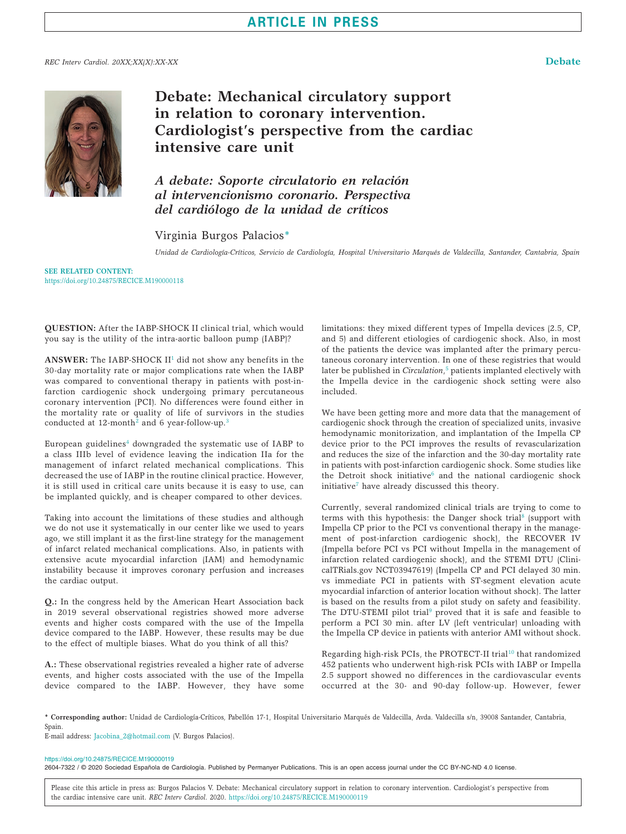## **ARTICLE IN PRESS**

### *REC Interv Cardiol. 20XX;XX(X):XX-XX* **Debate**



# **Debate: Mechanical circulatory support in relation to coronary intervention. Cardiologist's perspective from the cardiac intensive care unit**

*A debate: Soporte circulatorio en relación al intervencionismo coronario. Perspectiva del cardiólogo de la unidad de críticos* 

## Virginia Burgos Palacio[s\\*](#page-0-0)

*Unidad de Cardiología-Críticos, Servicio de Cardiología, Hospital Universitario Marqués de Valdecilla, Santander, Cantabria, Spain*

**SEE RELATED CONTENT:** <https://doi.org/10.24875/RECICE.M190000118>

**QUESTION:** After the IABP-SHOCK II clinical trial, which would you say is the utility of the intra-aortic balloon pump (IABP)?

ANSWER: The IABP-SHOCK II<sup>1</sup> did not show any benefits in the 30-day mortality rate or major complications rate when the IABP was compared to conventional therapy in patients with post-infarction cardiogenic shock undergoing primary percutaneous coronary intervention (PCI). No differences were found either in the mortality rate or quality of life of survivors in the studies conducted at 1[2](#page-1-1)-month<sup>2</sup> and 6 year-follow-up.<sup>[3](#page-1-2)</sup>

European guidelines<sup>4</sup> downgraded the systematic use of IABP to a class IIIb level of evidence leaving the indication IIa for the management of infarct related mechanical complications. This decreased the use of IABP in the routine clinical practice. However, it is still used in critical care units because it is easy to use, can be implanted quickly, and is cheaper compared to other devices.

Taking into account the limitations of these studies and although we do not use it systematically in our center like we used to years ago, we still implant it as the first-line strategy for the management of infarct related mechanical complications. Also, in patients with extensive acute myocardial infarction (IAM) and hemodynamic instability because it improves coronary perfusion and increases the cardiac output.

**Q.:** In the congress held by the American Heart Association back in 2019 several observational registries showed more adverse events and higher costs compared with the use of the Impella device compared to the IABP. However, these results may be due to the effect of multiple biases. What do you think of all this?

**A.:** These observational registries revealed a higher rate of adverse events, and higher costs associated with the use of the Impella device compared to the IABP. However, they have some limitations: they mixed different types of Impella devices (2.5, CP, and 5) and different etiologies of cardiogenic shock. Also, in most of the patients the device was implanted after the primary percutaneous coronary intervention. In one of these registries that would later be published in *Circulation*, [5](#page-1-4) patients implanted electively with the Impella device in the cardiogenic shock setting were also included.

We have been getting more and more data that the management of cardiogenic shock through the creation of specialized units, invasive hemodynamic monitorization, and implantation of the Impella CP device prior to the PCI improves the results of revascularization and reduces the size of the infarction and the 30-day mortality rate in patients with post-infarction cardiogenic shock. Some studies like the Detroit shock initiative $6$  and the national cardiogenic shock initiative[7](#page-1-6) have already discussed this theory.

Currently, several randomized clinical trials are trying to come to terms with this hypothesis: the Danger shock trial<sup>8</sup> (support with Impella CP prior to the PCI vs conventional therapy in the management of post-infarction cardiogenic shock), the RECOVER IV (Impella before PCI vs PCI without Impella in the management of infarction related cardiogenic shock), and the STEMI DTU ([Clini](http://ClinicalTRials.gov)[calTRials.gov](http://ClinicalTRials.gov) NCT03947619) (Impella CP and PCI delayed 30 min. vs immediate PCI in patients with ST-segment elevation acute myocardial infarction of anterior location without shock). The latter is based on the results from a pilot study on safety and feasibility. The DTU-STEMI pilot trial<sup>9</sup> proved that it is safe and feasible to perform a PCI 30 min. after LV (left ventricular) unloading with the Impella CP device in patients with anterior AMI without shock.

Regarding high-risk PCIs, the PROTECT-II trial<sup>10</sup> that randomized 452 patients who underwent high-risk PCIs with IABP or Impella 2.5 support showed no differences in the cardiovascular events occurred at the 30- and 90-day follow-up. However, fewer

<span id="page-0-0"></span>**\* Corresponding author:** Unidad de Cardiología-Críticos, Pabellón 17-1, Hospital Universitario Marqués de Valdecilla, Avda. Valdecilla s/n, 39008 Santander, Cantabria, Spain

E-mail address: [Jacobina\\_2@hotmail.com](mailto:Jacobina_2@hotmail.com) (V. Burgos Palacios).

<https://doi.org/10.24875/RECICE.M190000119>

2604-7322 / © 2020 Sociedad Española de Cardiología. Published by Permanyer Publications. This is an open access journal under the CC BY-NC-ND 4.0 license.

Please cite this article in press as: Burgos Palacios V. Debate: Mechanical circulatory support in relation to coronary intervention. Cardiologist's perspective from the cardiac intensive care unit. *REC Interv Cardiol*. 2020. <https://doi.org/10.24875/RECICE.M190000119>